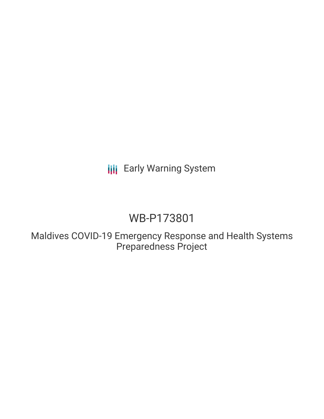**III** Early Warning System

## WB-P173801

Maldives COVID-19 Emergency Response and Health Systems Preparedness Project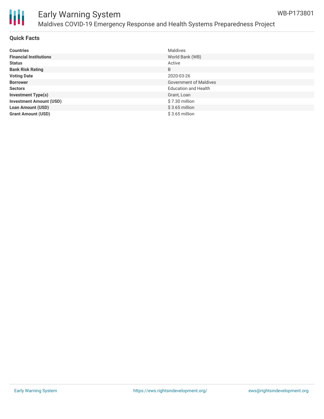

# Ш

## Early Warning System Maldives COVID-19 Emergency Response and Health Systems Preparedness Project

#### **Quick Facts**

| <b>Countries</b>               | <b>Maldives</b>               |
|--------------------------------|-------------------------------|
| <b>Financial Institutions</b>  | World Bank (WB)               |
| <b>Status</b>                  | Active                        |
| <b>Bank Risk Rating</b>        | B                             |
| <b>Voting Date</b>             | 2020-03-26                    |
| <b>Borrower</b>                | <b>Government of Maldives</b> |
| <b>Sectors</b>                 | <b>Education and Health</b>   |
| <b>Investment Type(s)</b>      | Grant, Loan                   |
| <b>Investment Amount (USD)</b> | \$7.30 million                |
| <b>Loan Amount (USD)</b>       | $$3.65$ million               |
| <b>Grant Amount (USD)</b>      | $$3.65$ million               |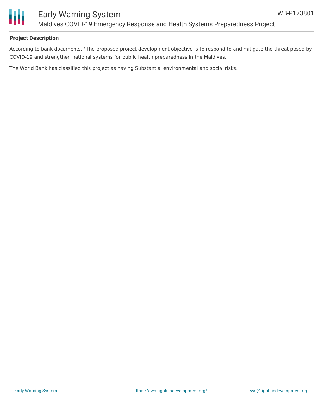

#### **Project Description**

According to bank documents, "The proposed project development objective is to respond to and mitigate the threat posed by COVID-19 and strengthen national systems for public health preparedness in the Maldives."

The World Bank has classified this project as having Substantial environmental and social risks.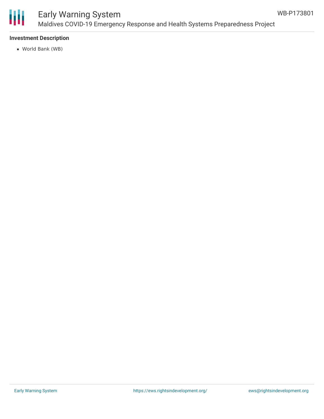

## Early Warning System Maldives COVID-19 Emergency Response and Health Systems Preparedness Project

#### **Investment Description**

World Bank (WB)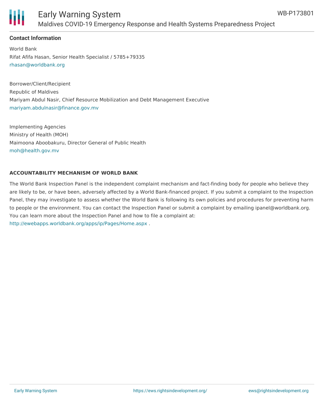

## Early Warning System Maldives COVID-19 Emergency Response and Health Systems Preparedness Project

#### **Contact Information**

World Bank Rifat Afifa Hasan, Senior Health Specialist / 5785+79335 [rhasan@worldbank.org](mailto:rhasan@worldbank.org)

Borrower/Client/Recipient Republic of Maldives Mariyam Abdul Nasir, Chief Resource Mobilization and Debt Management Executive [mariyam.abdulnasir@finance.gov.mv](mailto:mariyam.abdulnasir@finance.gov.mv)

Implementing Agencies Ministry of Health (MOH) Maimoona Aboobakuru, Director General of Public Health [moh@health.gov.mv](mailto:moh@health.gov.mv)

#### **ACCOUNTABILITY MECHANISM OF WORLD BANK**

The World Bank Inspection Panel is the independent complaint mechanism and fact-finding body for people who believe they are likely to be, or have been, adversely affected by a World Bank-financed project. If you submit a complaint to the Inspection Panel, they may investigate to assess whether the World Bank is following its own policies and procedures for preventing harm to people or the environment. You can contact the Inspection Panel or submit a complaint by emailing ipanel@worldbank.org. You can learn more about the Inspection Panel and how to file a complaint at: <http://ewebapps.worldbank.org/apps/ip/Pages/Home.aspx> .